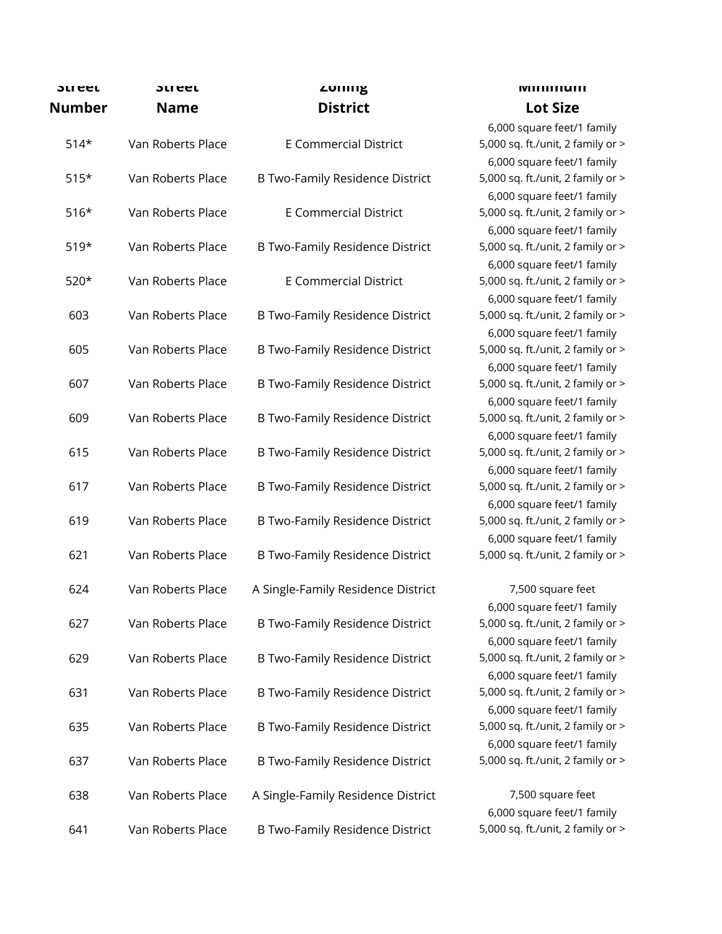| วเreet<br><b>Number</b> | <b>SLLGEL</b><br>Name | <b><i>LONIN</i></b><br><b>District</b> |
|-------------------------|-----------------------|----------------------------------------|
| $514*$                  | Van Roberts Place     | <b>E Commercial District</b>           |
| $515*$                  | Van Roberts Place     | B Two-Family Residence District        |
| $516*$                  | Van Roberts Place     | <b>E Commercial District</b>           |
| $519*$                  | Van Roberts Place     | B Two-Family Residence District        |
| 520*                    | Van Roberts Place     | <b>E Commercial District</b>           |
| 603                     | Van Roberts Place     | B Two-Family Residence District        |
| 605                     | Van Roberts Place     | <b>B Two-Family Residence District</b> |
| 607                     | Van Roberts Place     | <b>B Two-Family Residence District</b> |
| 609                     | Van Roberts Place     | <b>B Two-Family Residence District</b> |
| 615                     | Van Roberts Place     | <b>B Two-Family Residence District</b> |
| 617                     | Van Roberts Place     | <b>B Two-Family Residence District</b> |
| 619                     | Van Roberts Place     | <b>B Two-Family Residence District</b> |
| 621                     | Van Roberts Place     | <b>B Two-Family Residence District</b> |
| 624                     | Van Roberts Place     | A Single-Family Residence District     |
| 627                     | Van Roberts Place     | <b>B Two-Family Residence District</b> |
| 629                     | Van Roberts Place     | <b>B Two-Family Residence District</b> |
| 631                     | Van Roberts Place     | <b>B Two-Family Residence District</b> |
| 635                     | Van Roberts Place     | <b>B Two-Family Residence District</b> |
| 637                     | Van Roberts Place     | <b>B Two-Family Residence District</b> |
| 638                     | Van Roberts Place     | A Single-Family Residence District     |
| 641                     | Van Roberts Place     | <b>B Two-Family Residence District</b> |

## **Minimum Lot Size**

6,000 square feet/1 family 5,000 sq. ft./unit, 2 family or > 6,000 square feet/1 family 5,000 sq. ft./unit, 2 family or > 6,000 square feet/1 family 5,000 sq. ft./unit, 2 family or > 6,000 square feet/1 family 5,000 sq. ft./unit, 2 family or > 6,000 square feet/1 family 5,000 sq. ft./unit, 2 family or > 6,000 square feet/1 family 5,000 sq. ft./unit, 2 family or > 6,000 square feet/1 family 5,000 sq. ft./unit, 2 family or > 6,000 square feet/1 family 5,000 sq. ft./unit, 2 family or > 6,000 square feet/1 family 5,000 sq. ft./unit, 2 family or > 6,000 square feet/1 family 5,000 sq. ft./unit, 2 family or > 6,000 square feet/1 family 5,000 sq. ft./unit, 2 family or > 6,000 square feet/1 family 5,000 sq. ft./unit, 2 family or > 6,000 square feet/1 family 5,000 sq. ft./unit, 2 family or >

7,500 square feet 6,000 square feet/1 family 5,000 sq. ft./unit, 2 family or > 6,000 square feet/1 family 5,000 sq. ft./unit, 2 family or > 6,000 square feet/1 family 5,000 sq. ft./unit, 2 family or > 6,000 square feet/1 family 5,000 sq. ft./unit, 2 family or > 6,000 square feet/1 family 5,000 sq. ft./unit, 2 family or >

7,500 square feet 6,000 square feet/1 family 5,000 sq. ft./unit, 2 family or >